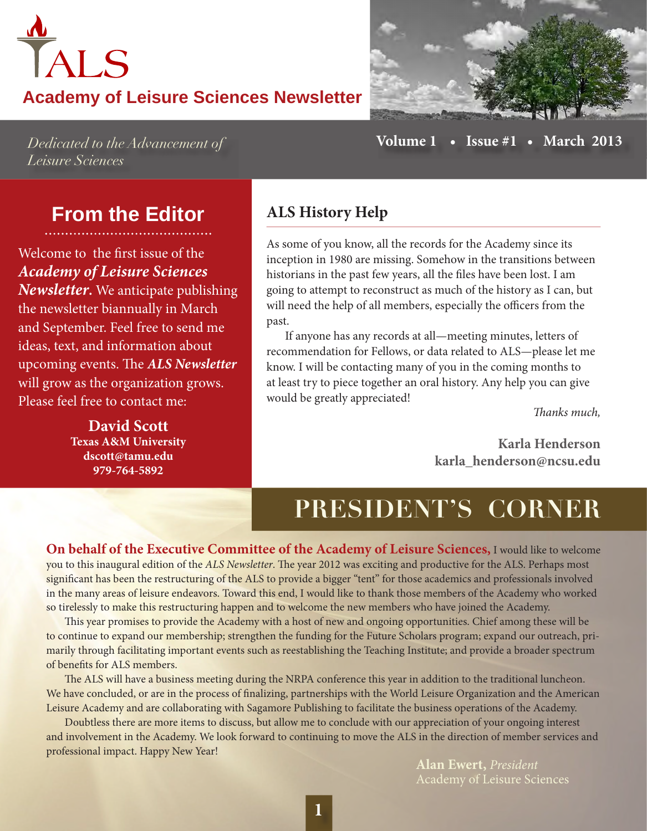## *FALS* **Academy of Leisure Sciences Newsletter**

**Issue #1** • March 2013

Dedicated to the Advancement of Leisure Sciences

Volume 1

### **From the Editor**

Welcome to the first issue of the **Academy of Leisure Sciences Newsletter.** We anticipate publishing the newsletter biannually in March and September. Feel free to send me ideas, text, and information about upcoming events. The ALS Newsletter will grow as the organization grows. Please feel free to contact me:

> **David Scott Texas A&M University** dscott@tamu.edu 979-764-5892

#### **ALS History Help**

As some of you know, all the records for the Academy since its inception in 1980 are missing. Somehow in the transitions between historians in the past few years, all the files have been lost. I am going to attempt to reconstruct as much of the history as I can, but will need the help of all members, especially the officers from the past.

If anyone has any records at all—meeting minutes, letters of recommendation for Fellows, or data related to ALS-please let me know. I will be contacting many of you in the coming months to at least try to piece together an oral history. Any help you can give would be greatly appreciated!

Thanks much.

Karla Henderson karla henderson@ncsu.edu

## PRESIDENT'S CORNER

On behalf of the Executive Committee of the Academy of Leisure Sciences, I would like to welcome you to this inaugural edition of the ALS Newsletter. The year 2012 was exciting and productive for the ALS. Perhaps most significant has been the restructuring of the ALS to provide a bigger "tent" for those academics and professionals involved in the many areas of leisure endeavors. Toward this end, I would like to thank those members of the Academy who worked so tirelessly to make this restructuring happen and to welcome the new members who have joined the Academy.

This year promises to provide the Academy with a host of new and ongoing opportunities. Chief among these will be to continue to expand our membership; strengthen the funding for the Future Scholars program; expand our outreach, primarily through facilitating important events such as reestablishing the Teaching Institute; and provide a broader spectrum of benefits for ALS members.

The ALS will have a business meeting during the NRPA conference this year in addition to the traditional luncheon. We have concluded, or are in the process of finalizing, partnerships with the World Leisure Organization and the American Leisure Academy and are collaborating with Sagamore Publishing to facilitate the business operations of the Academy.

Doubtless there are more items to discuss, but allow me to conclude with our appreciation of your ongoing interest and involvement in the Academy. We look forward to continuing to move the ALS in the direction of member services and professional impact. Happy New Year!

**Alan Ewert**, *President* **Academy of Leisure Sciences**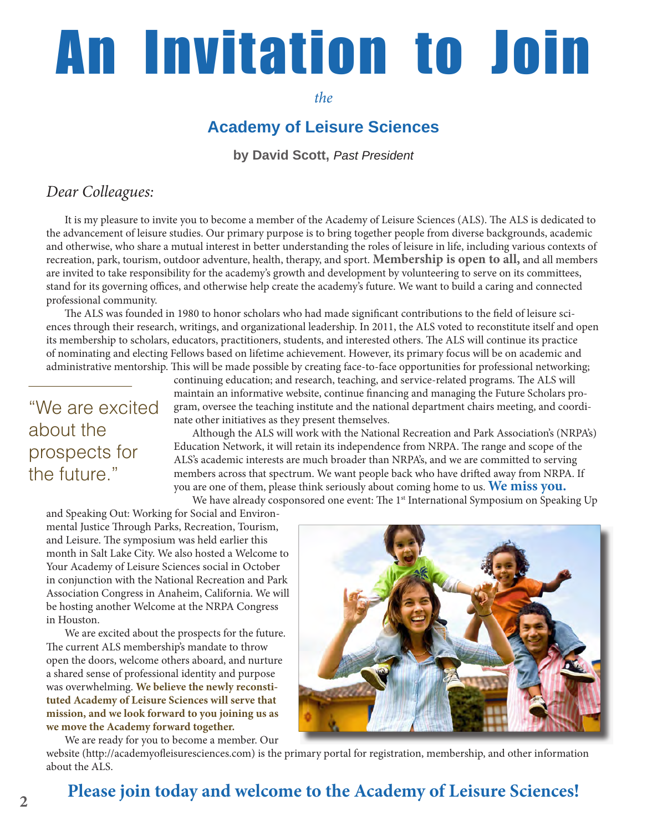# **An Invitation to Join**

 $the$ 

#### **Academy of Leisure Sciences**

by David Scott, Past President

#### Dear Colleagues:

It is my pleasure to invite you to become a member of the Academy of Leisure Sciences (ALS). The ALS is dedicated to the advancement of leisure studies. Our primary purpose is to bring together people from diverse backgrounds, academic and otherwise, who share a mutual interest in better understanding the roles of leisure in life, including various contexts of recreation, park, tourism, outdoor adventure, health, therapy, and sport. **Membership is open to all**, and all members are invited to take responsibility for the academy's growth and development by volunteering to serve on its committees, stand for its governing offices, and otherwise help create the academy's future. We want to build a caring and connected professional community.

The ALS was founded in 1980 to honor scholars who had made significant contributions to the field of leisure sciences through their research, writings, and organizational leadership. In 2011, the ALS voted to reconstitute itself and open its membership to scholars, educators, practitioners, students, and interested others. The ALS will continue its practice of nominating and electing Fellows based on lifetime achievement. However, its primary focus will be on academic and administrative mentorship. This will be made possible by creating face-to-face opportunities for professional networking;

### "We are excited about the prospects for the future."

continuing education; and research, teaching, and service-related programs. The ALS will maintain an informative website, continue financing and managing the Future Scholars program, oversee the teaching institute and the national department chairs meeting, and coordinate other initiatives as they present themselves.

Although the ALS will work with the National Recreation and Park Association's (NRPA's) Education Network, it will retain its independence from NRPA. The range and scope of the ALS's academic interests are much broader than NRPA's, and we are committed to serving members across that spectrum. We want people back who have drifted away from NRPA. If you are one of them, please think seriously about coming home to us. We miss you.

We have already cosponsored one event: The 1<sup>st</sup> International Symposium on Speaking Up

and Speaking Out: Working for Social and Environmental Justice Through Parks, Recreation, Tourism, and Leisure. The symposium was held earlier this month in Salt Lake City. We also hosted a Welcome to Your Academy of Leisure Sciences social in October in conjunction with the National Recreation and Park Association Congress in Anaheim, California. We will be hosting another Welcome at the NRPA Congress in Houston.

We are excited about the prospects for the future. The current ALS membership's mandate to throw open the doors, welcome others aboard, and nurture a shared sense of professional identity and purpose was overwhelming. We believe the newly reconstituted Academy of Leisure Sciences will serve that mission, and we look forward to you joining us as we move the Academy forward together.

We are ready for you to become a member. Our



website (http://academyofleisuresciences.com) is the primary portal for registration, membership, and other information about the ALS.

#### Please join today and welcome to the Academy of Leisure Sciences!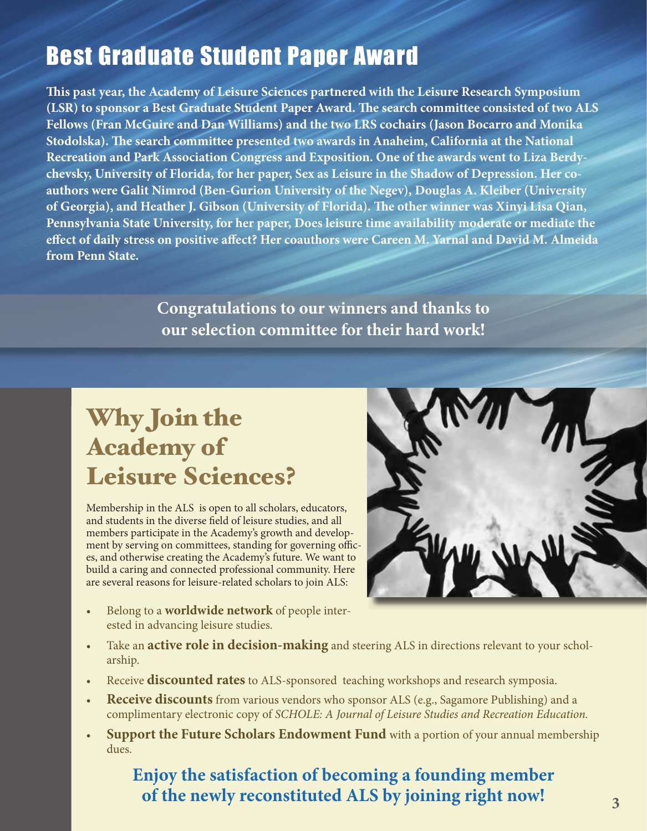## **Best Graduate Student Paper Award**

This past year, the Academy of Leisure Sciences partnered with the Leisure Research Symposium (LSR) to sponsor a Best Graduate Student Paper Award. The search committee consisted of two ALS Fellows (Fran McGuire and Dan Williams) and the two LRS cochairs (Jason Bocarro and Monika Stodolska). The search committee presented two awards in Anaheim, California at the National Recreation and Park Association Congress and Exposition. One of the awards went to Liza Berdychevsky, University of Florida, for her paper, Sex as Leisure in the Shadow of Depression. Her coauthors were Galit Nimrod (Ben-Gurion University of the Negev), Douglas A. Kleiber (University of Georgia), and Heather J. Gibson (University of Florida). The other winner was Xinyi Lisa Qian, Pennsylvania State University, for her paper, Does leisure time availability moderate or mediate the effect of daily stress on positive affect? Her coauthors were Careen M. Yarnal and David M. Almeida from Penn State.

> Congratulations to our winners and thanks to our selection committee for their hard work!

## **Why Join the Academy of Leisure Sciences?**

Membership in the ALS is open to all scholars, educators, and students in the diverse field of leisure studies, and all members participate in the Academy's growth and development by serving on committees, standing for governing offices, and otherwise creating the Academy's future. We want to build a caring and connected professional community. Here are several reasons for leisure-related scholars to join ALS:

Belong to a **worldwide network** of people interested in advancing leisure studies.



- Take an **active role in decision-making** and steering ALS in directions relevant to your scholarship.
- Receive discounted rates to ALS-sponsored teaching workshops and research symposia.
- **Receive discounts** from various vendors who sponsor ALS (e.g., Sagamore Publishing) and a complimentary electronic copy of SCHOLE: A Journal of Leisure Studies and Recreation Education.
- Support the Future Scholars Endowment Fund with a portion of your annual membership dues.

#### Enjoy the satisfaction of becoming a founding member of the newly reconstituted ALS by joining right now!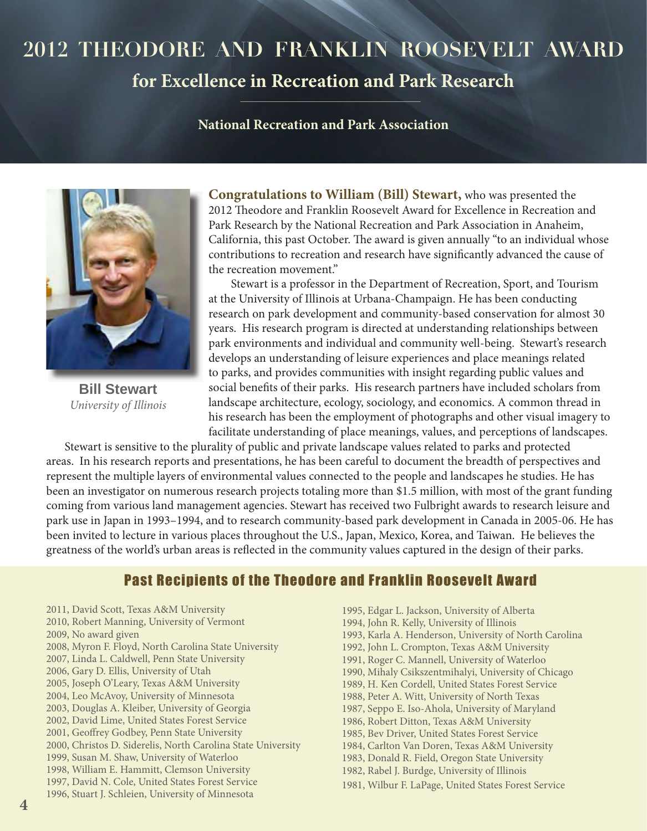## 2012 THEODORE AND FRANKLIN ROOSEVELT AWARD

#### for Excellence in Recreation and Park Research

#### **National Recreation and Park Association**



**Bill Stewart** University of Illinois

**Congratulations to William (Bill) Stewart, who was presented the** 2012 Theodore and Franklin Roosevelt Award for Excellence in Recreation and Park Research by the National Recreation and Park Association in Anaheim, California, this past October. The award is given annually "to an individual whose contributions to recreation and research have significantly advanced the cause of the recreation movement."

Stewart is a professor in the Department of Recreation, Sport, and Tourism at the University of Illinois at Urbana-Champaign. He has been conducting research on park development and community-based conservation for almost 30 years. His research program is directed at understanding relationships between park environments and individual and community well-being. Stewart's research develops an understanding of leisure experiences and place meanings related to parks, and provides communities with insight regarding public values and social benefits of their parks. His research partners have included scholars from landscape architecture, ecology, sociology, and economics. A common thread in his research has been the employment of photographs and other visual imagery to facilitate understanding of place meanings, values, and perceptions of landscapes.

Stewart is sensitive to the plurality of public and private landscape values related to parks and protected areas. In his research reports and presentations, he has been careful to document the breadth of perspectives and represent the multiple layers of environmental values connected to the people and landscapes he studies. He has been an investigator on numerous research projects totaling more than \$1.5 million, with most of the grant funding coming from various land management agencies. Stewart has received two Fulbright awards to research leisure and park use in Japan in 1993-1994, and to research community-based park development in Canada in 2005-06. He has been invited to lecture in various places throughout the U.S., Japan, Mexico, Korea, and Taiwan. He believes the greatness of the world's urban areas is reflected in the community values captured in the design of their parks.

#### **Past Recipients of the Theodore and Franklin Roosevelt Award**

2011, David Scott, Texas A&M University 2010, Robert Manning, University of Vermont 2009, No award given 2008, Myron F. Floyd, North Carolina State University 2007, Linda L. Caldwell, Penn State University 2006, Gary D. Ellis, University of Utah 2005, Joseph O'Leary, Texas A&M University 2004, Leo McAvoy, University of Minnesota 2003, Douglas A. Kleiber, University of Georgia 2002, David Lime, United States Forest Service 2001, Geoffrey Godbey, Penn State University 2000, Christos D. Siderelis, North Carolina State University 1999, Susan M. Shaw, University of Waterloo 1998, William E. Hammitt, Clemson University 1997, David N. Cole, United States Forest Service 1996, Stuart J. Schleien, University of Minnesota

1995, Edgar L. Jackson, University of Alberta 1994, John R. Kelly, University of Illinois 1993, Karla A. Henderson, University of North Carolina 1992, John L. Crompton, Texas A&M University 1991, Roger C. Mannell, University of Waterloo 1990, Mihaly Csikszentmihalyi, University of Chicago 1989, H. Ken Cordell, United States Forest Service 1988, Peter A. Witt, University of North Texas 1987, Seppo E. Iso-Ahola, University of Maryland 1986, Robert Ditton, Texas A&M University 1985, Bev Driver, United States Forest Service 1984, Carlton Van Doren, Texas A&M University 1983, Donald R. Field, Oregon State University 1982, Rabel J. Burdge, University of Illinois 1981, Wilbur F. LaPage, United States Forest Service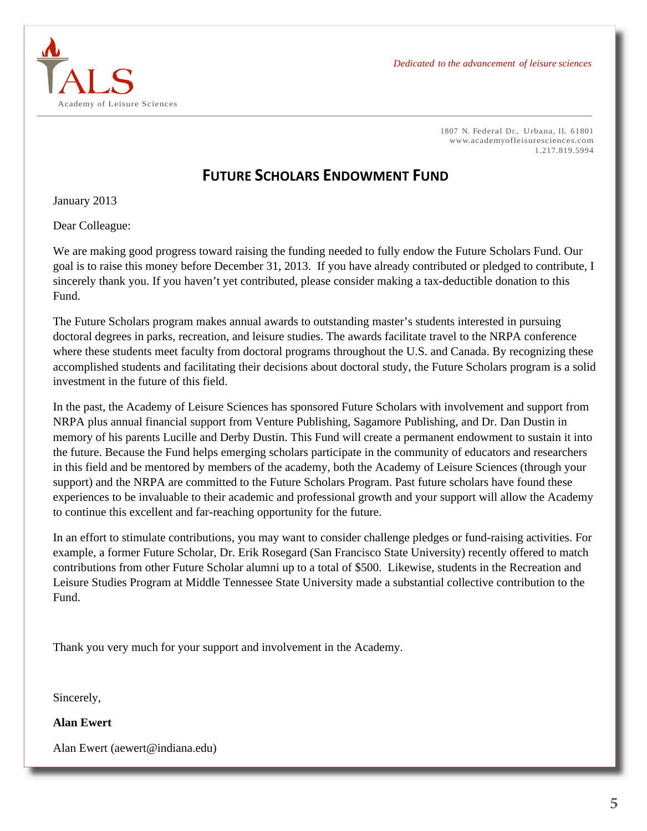Dedicated to the advancement of leisure sciences



1807 N. Federal Dr., Urbana, IL 61801 www.academyofleisuresciences.com 1.217.819.5994

#### **FUTURE SCHOLARS ENDOWMENT FUND**

January 2013

Dear Colleague:

We are making good progress toward raising the funding needed to fully endow the Future Scholars Fund. Our goal is to raise this money before December 31, 2013. If you have already contributed or pledged to contribute, I sincerely thank you. If you haven't yet contributed, please consider making a tax-deductible donation to this Fund.

The Future Scholars program makes annual awards to outstanding master's students interested in pursuing doctoral degrees in parks, recreation, and leisure studies. The awards facilitate travel to the NRPA conference where these students meet faculty from doctoral programs throughout the U.S. and Canada. By recognizing these accomplished students and facilitating their decisions about doctoral study, the Future Scholars program is a solid investment in the future of this field.

In the past, the Academy of Leisure Sciences has sponsored Future Scholars with involvement and support from NRPA plus annual financial support from Venture Publishing, Sagamore Publishing, and Dr. Dan Dustin in memory of his parents Lucille and Derby Dustin. This Fund will create a permanent endowment to sustain it into the future. Because the Fund helps emerging scholars participate in the community of educators and researchers in this field and be mentored by members of the academy, both the Academy of Leisure Sciences (through your support) and the NRPA are committed to the Future Scholars Program. Past future scholars have found these experiences to be invaluable to their academic and professional growth and your support will allow the Academy to continue this excellent and far-reaching opportunity for the future.

In an effort to stimulate contributions, you may want to consider challenge pledges or fund-raising activities. For example, a former Future Scholar, Dr. Erik Rosegard (San Francisco State University) recently offered to match contributions from other Future Scholar alumni up to a total of \$500. Likewise, students in the Recreation and Leisure Studies Program at Middle Tennessee State University made a substantial collective contribution to the Fund.

Thank you very much for your support and involvement in the Academy.

Sincerely,

**Alan Ewert** 

Alan Ewert (aewert@indiana.edu)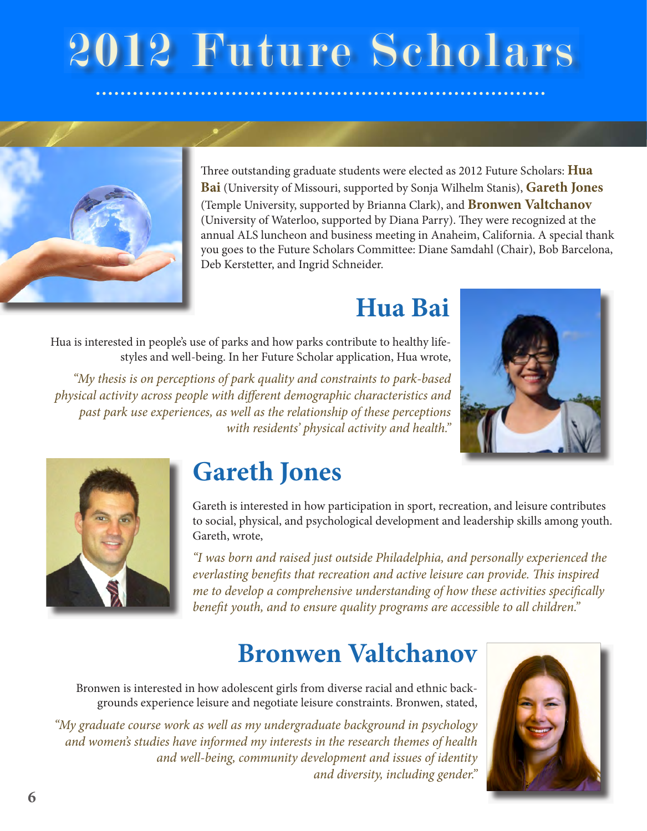## 2012 Future Scholars



Three outstanding graduate students were elected as 2012 Future Scholars: **Hua Bai** (University of Missouri, supported by Sonja Wilhelm Stanis), Gareth Jones (Temple University, supported by Brianna Clark), and **Bronwen Valtchanov** (University of Waterloo, supported by Diana Parry). They were recognized at the annual ALS luncheon and business meeting in Anaheim, California. A special thank you goes to the Future Scholars Committee: Diane Samdahl (Chair), Bob Barcelona, Deb Kerstetter, and Ingrid Schneider.

## Hua Bai

Hua is interested in people's use of parks and how parks contribute to healthy lifestyles and well-being. In her Future Scholar application, Hua wrote,

"My thesis is on perceptions of park quality and constraints to park-based physical activity across people with different demographic characteristics and past park use experiences, as well as the relationship of these perceptions with residents' physical activity and health."





## **Gareth Jones**

Gareth is interested in how participation in sport, recreation, and leisure contributes to social, physical, and psychological development and leadership skills among youth. Gareth, wrote,

"I was born and raised just outside Philadelphia, and personally experienced the everlasting benefits that recreation and active leisure can provide. This inspired me to develop a comprehensive understanding of how these activities specifically benefit youth, and to ensure quality programs are accessible to all children."

## **Bronwen Valtchanov**

Bronwen is interested in how adolescent girls from diverse racial and ethnic backgrounds experience leisure and negotiate leisure constraints. Bronwen, stated,

"My graduate course work as well as my undergraduate background in psychology and women's studies have informed my interests in the research themes of health and well-being, community development and issues of identity and diversity, including gender."

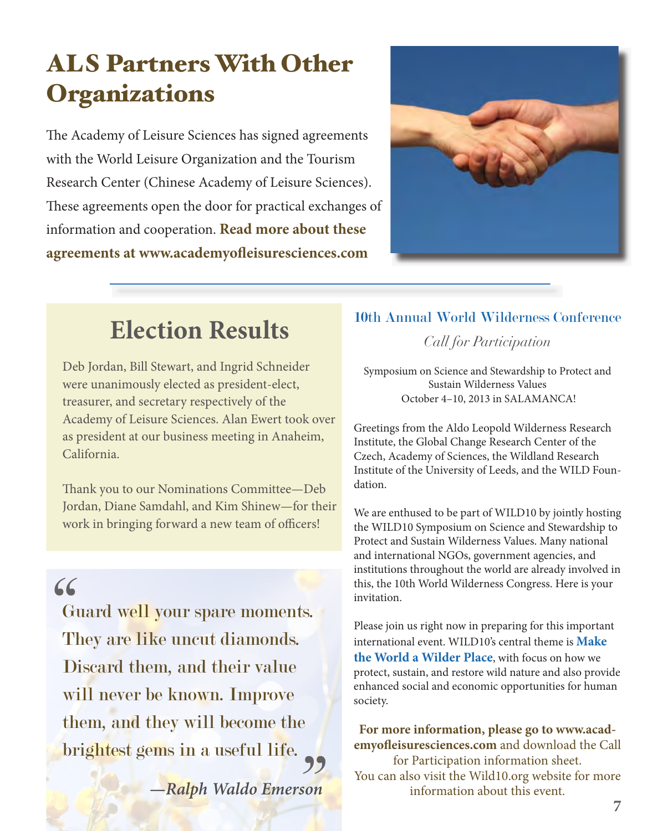## **ALS Partners With Other Organizations**

The Academy of Leisure Sciences has signed agreements with the World Leisure Organization and the Tourism Research Center (Chinese Academy of Leisure Sciences). These agreements open the door for practical exchanges of information and cooperation. Read more about these agreements at www.academyofleisuresciences.com



## **Election Results**

Deb Jordan, Bill Stewart, and Ingrid Schneider were unanimously elected as president-elect, treasurer, and secretary respectively of the Academy of Leisure Sciences. Alan Ewert took over as president at our business meeting in Anaheim, California.

Thank you to our Nominations Committee-Deb Jordan, Diane Samdahl, and Kim Shinew-for their work in bringing forward a new team of officers!

 $66$ 

Guard well your spare moments. They are like uncut diamonds. Discard them, and their value will never be known. Improve them, and they will become the brightest gems in a useful life.

-Ralph Waldo Emerson

## 10th Annual World Wilderness Conference

Call for Participation

Symposium on Science and Stewardship to Protect and Sustain Wilderness Values October 4-10, 2013 in SALAMANCA!

Greetings from the Aldo Leopold Wilderness Research Institute, the Global Change Research Center of the Czech, Academy of Sciences, the Wildland Research Institute of the University of Leeds, and the WILD Foundation.

We are enthused to be part of WILD10 by jointly hosting the WILD10 Symposium on Science and Stewardship to Protect and Sustain Wilderness Values. Many national and international NGOs, government agencies, and institutions throughout the world are already involved in this, the 10th World Wilderness Congress. Here is your invitation.

Please join us right now in preparing for this important international event. WILD10's central theme is **Make** the World a Wilder Place, with focus on how we protect, sustain, and restore wild nature and also provide enhanced social and economic opportunities for human society.

For more information, please go to www.academyofleisuresciences.com and download the Call for Participation information sheet. You can also visit the Wild10.org website for more information about this event.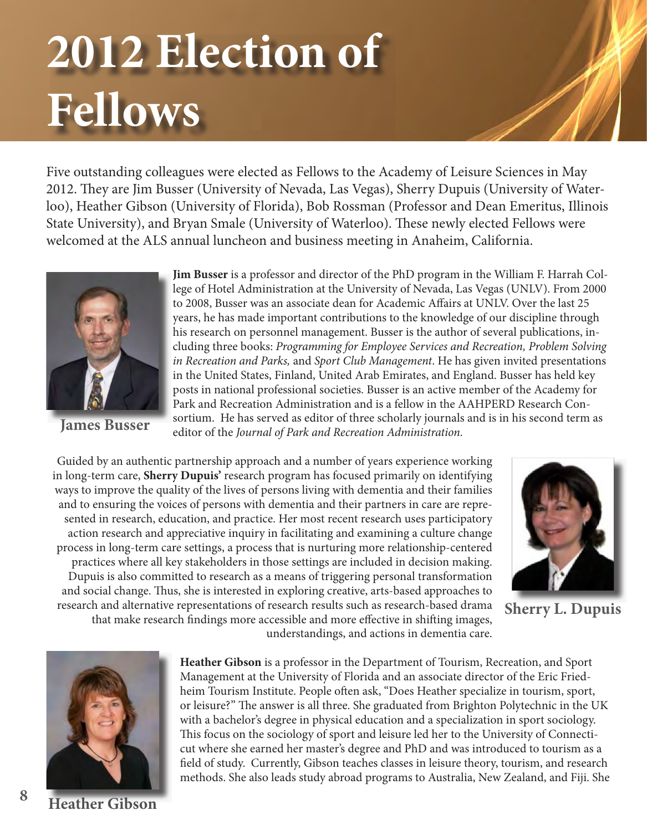## 2012 Election of **Fellows**

Five outstanding colleagues were elected as Fellows to the Academy of Leisure Sciences in May 2012. They are Jim Busser (University of Nevada, Las Vegas), Sherry Dupuis (University of Waterloo), Heather Gibson (University of Florida), Bob Rossman (Professor and Dean Emeritus, Illinois State University), and Bryan Smale (University of Waterloo). These newly elected Fellows were welcomed at the ALS annual luncheon and business meeting in Anaheim, California.



**James Busser** 

**Jim Busser** is a professor and director of the PhD program in the William F. Harrah College of Hotel Administration at the University of Nevada, Las Vegas (UNLV). From 2000 to 2008, Busser was an associate dean for Academic Affairs at UNLV. Over the last 25 years, he has made important contributions to the knowledge of our discipline through his research on personnel management. Busser is the author of several publications, including three books: Programming for Employee Services and Recreation, Problem Solving in Recreation and Parks, and Sport Club Management. He has given invited presentations in the United States, Finland, United Arab Emirates, and England. Busser has held key posts in national professional societies. Busser is an active member of the Academy for Park and Recreation Administration and is a fellow in the AAHPERD Research Consortium. He has served as editor of three scholarly journals and is in his second term as editor of the Journal of Park and Recreation Administration.

Guided by an authentic partnership approach and a number of years experience working in long-term care, Sherry Dupuis' research program has focused primarily on identifying ways to improve the quality of the lives of persons living with dementia and their families and to ensuring the voices of persons with dementia and their partners in care are represented in research, education, and practice. Her most recent research uses participatory action research and appreciative inquiry in facilitating and examining a culture change process in long-term care settings, a process that is nurturing more relationship-centered practices where all key stakeholders in those settings are included in decision making. Dupuis is also committed to research as a means of triggering personal transformation and social change. Thus, she is interested in exploring creative, arts-based approaches to research and alternative representations of research results such as research-based drama that make research findings more accessible and more effective in shifting images, understandings, and actions in dementia care.

**Sherry L. Dupuis** 

**Heather Gibson** is a professor in the Department of Tourism, Recreation, and Sport Management at the University of Florida and an associate director of the Eric Friedheim Tourism Institute. People often ask, "Does Heather specialize in tourism, sport, or leisure?" The answer is all three. She graduated from Brighton Polytechnic in the UK with a bachelor's degree in physical education and a specialization in sport sociology. This focus on the sociology of sport and leisure led her to the University of Connecticut where she earned her master's degree and PhD and was introduced to tourism as a field of study. Currently, Gibson teaches classes in leisure theory, tourism, and research methods. She also leads study abroad programs to Australia, New Zealand, and Fiji. She

8